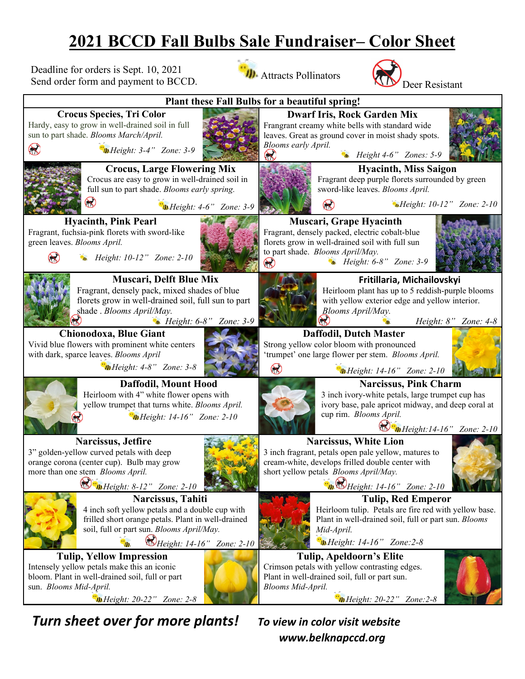## **2021 BCCD Fall Bulbs Sale Fundraiser– Color Sheet**

Deadline for orders is Sept. 10, 2021 Send order form and payment to BCCD. **III.** Attracts Pollinators





*Turn sheet over for more plants! To view in color visit website*

 *www.belknapccd.org*